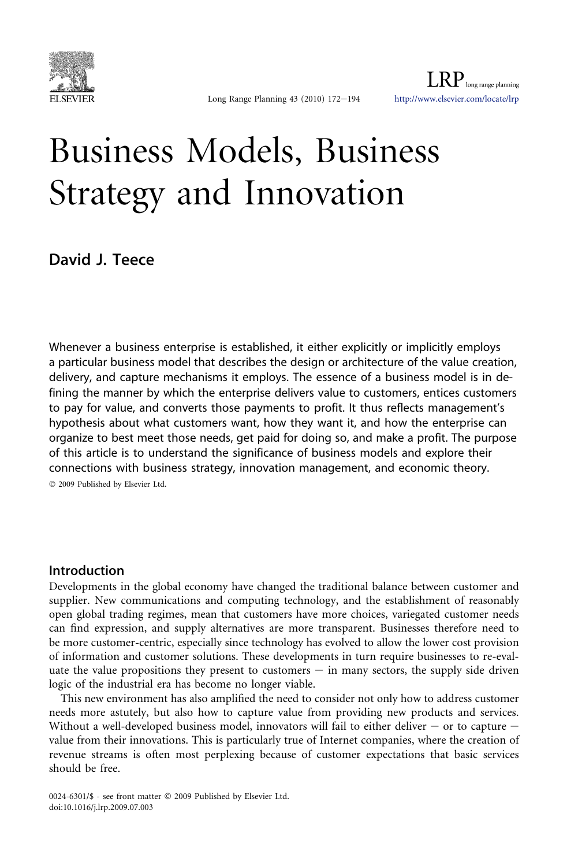

Long Range Planning 43 (2010) 172-194 <http://www.elsevier.com/locate/lrp>

# Business Models, Business Strategy and Innovation

# David J. Teece

Whenever a business enterprise is established, it either explicitly or implicitly employs a particular business model that describes the design or architecture of the value creation, delivery, and capture mechanisms it employs. The essence of a business model is in defining the manner by which the enterprise delivers value to customers, entices customers to pay for value, and converts those payments to profit. It thus reflects management's hypothesis about what customers want, how they want it, and how the enterprise can organize to best meet those needs, get paid for doing so, and make a profit. The purpose of this article is to understand the significance of business models and explore their connections with business strategy, innovation management, and economic theory. © 2009 Published by Elsevier Ltd.

## Introduction

Developments in the global economy have changed the traditional balance between customer and supplier. New communications and computing technology, and the establishment of reasonably open global trading regimes, mean that customers have more choices, variegated customer needs can find expression, and supply alternatives are more transparent. Businesses therefore need to be more customer-centric, especially since technology has evolved to allow the lower cost provision of information and customer solutions. These developments in turn require businesses to re-evaluate the value propositions they present to customers  $-$  in many sectors, the supply side driven logic of the industrial era has become no longer viable.

This new environment has also amplified the need to consider not only how to address customer needs more astutely, but also how to capture value from providing new products and services. Without a well-developed business model, innovators will fail to either deliver  $-$  or to capture  $$ value from their innovations. This is particularly true of Internet companies, where the creation of revenue streams is often most perplexing because of customer expectations that basic services should be free.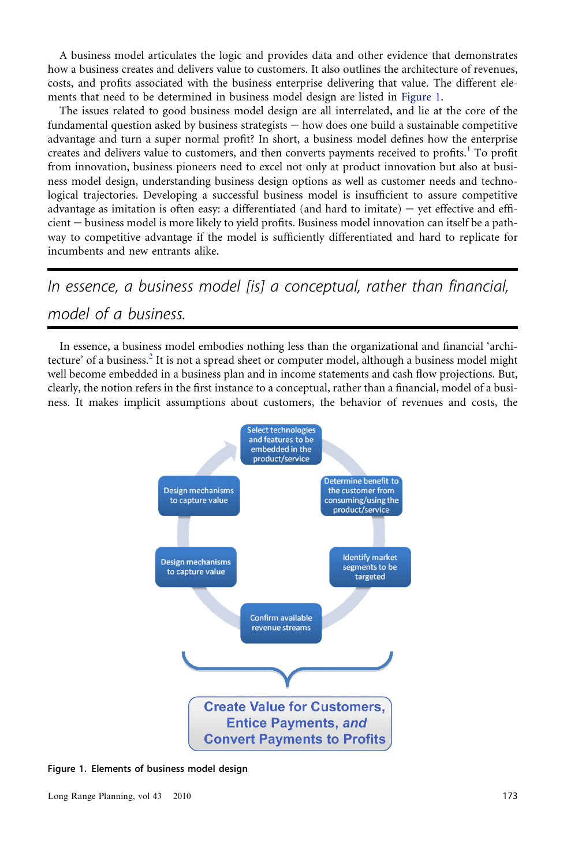A business model articulates the logic and provides data and other evidence that demonstrates how a business creates and delivers value to customers. It also outlines the architecture of revenues, costs, and profits associated with the business enterprise delivering that value. The different elements that need to be determined in business model design are listed in Figure 1.

The issues related to good business model design are all interrelated, and lie at the core of the fundamental question asked by business strategists  $-$  how does one build a sustainable competitive advantage and turn a super normal profit? In short, a business model defines how the enterprise creates and delivers value to customers, and then converts payments received to profits.<sup>[1](#page-20-0)</sup> To profit from innovation, business pioneers need to excel not only at product innovation but also at business model design, understanding business design options as well as customer needs and technological trajectories. Developing a successful business model is insufficient to assure competitive advantage as imitation is often easy: a differentiated (and hard to imitate)  $-$  yet effective and efficient e business model is more likely to yield profits. Business model innovation can itself be a pathway to competitive advantage if the model is sufficiently differentiated and hard to replicate for incumbents and new entrants alike.

# In essence, a business model [is] a conceptual, rather than financial, model of a business.

In essence, a business model embodies nothing less than the organizational and financial 'architecture' of a business.<sup>2</sup> It is not a spread sheet or computer model, although a business model might well become embedded in a business plan and in income statements and cash flow projections. But, clearly, the notion refers in the first instance to a conceptual, rather than a financial, model of a business. It makes implicit assumptions about customers, the behavior of revenues and costs, the



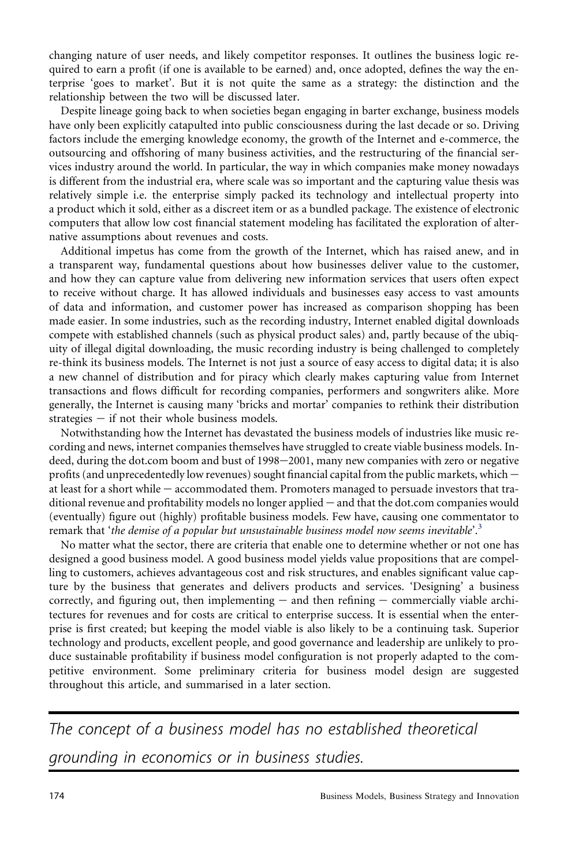changing nature of user needs, and likely competitor responses. It outlines the business logic required to earn a profit (if one is available to be earned) and, once adopted, defines the way the enterprise 'goes to market'. But it is not quite the same as a strategy: the distinction and the relationship between the two will be discussed later.

Despite lineage going back to when societies began engaging in barter exchange, business models have only been explicitly catapulted into public consciousness during the last decade or so. Driving factors include the emerging knowledge economy, the growth of the Internet and e-commerce, the outsourcing and offshoring of many business activities, and the restructuring of the financial services industry around the world. In particular, the way in which companies make money nowadays is different from the industrial era, where scale was so important and the capturing value thesis was relatively simple i.e. the enterprise simply packed its technology and intellectual property into a product which it sold, either as a discreet item or as a bundled package. The existence of electronic computers that allow low cost financial statement modeling has facilitated the exploration of alternative assumptions about revenues and costs.

Additional impetus has come from the growth of the Internet, which has raised anew, and in a transparent way, fundamental questions about how businesses deliver value to the customer, and how they can capture value from delivering new information services that users often expect to receive without charge. It has allowed individuals and businesses easy access to vast amounts of data and information, and customer power has increased as comparison shopping has been made easier. In some industries, such as the recording industry, Internet enabled digital downloads compete with established channels (such as physical product sales) and, partly because of the ubiquity of illegal digital downloading, the music recording industry is being challenged to completely re-think its business models. The Internet is not just a source of easy access to digital data; it is also a new channel of distribution and for piracy which clearly makes capturing value from Internet transactions and flows difficult for recording companies, performers and songwriters alike. More generally, the Internet is causing many 'bricks and mortar' companies to rethink their distribution strategies  $-$  if not their whole business models.

Notwithstanding how the Internet has devastated the business models of industries like music recording and news, internet companies themselves have struggled to create viable business models. Indeed, during the dot.com boom and bust of  $1998-2001$ , many new companies with zero or negative profits (and unprecedentedly low revenues) sought financial capital from the public markets, which  $$ at least for a short while - accommodated them. Promoters managed to persuade investors that traditional revenue and profitability models no longer applied — and that the dot.com companies would (eventually) figure out (highly) profitable business models. Few have, causing one commentator to remark that 'the demise of a popular but unsustainable business model now seems inevitable'.<sup>3</sup>

No matter what the sector, there are criteria that enable one to determine whether or not one has designed a good business model. A good business model yields value propositions that are compelling to customers, achieves advantageous cost and risk structures, and enables significant value capture by the business that generates and delivers products and services. 'Designing' a business correctly, and figuring out, then implementing  $-$  and then refining  $-$  commercially viable architectures for revenues and for costs are critical to enterprise success. It is essential when the enterprise is first created; but keeping the model viable is also likely to be a continuing task. Superior technology and products, excellent people, and good governance and leadership are unlikely to produce sustainable profitability if business model configuration is not properly adapted to the competitive environment. Some preliminary criteria for business model design are suggested throughout this article, and summarised in a later section.

The concept of a business model has no established theoretical grounding in economics or in business studies.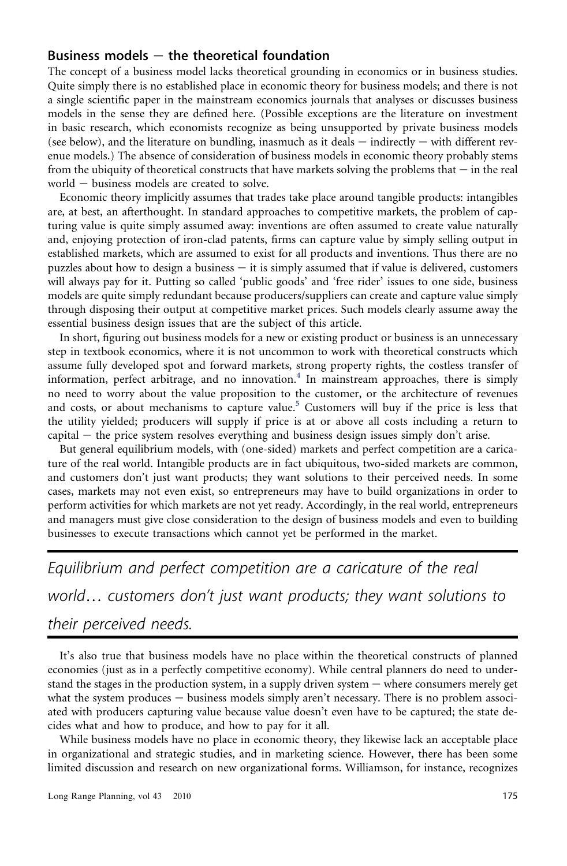#### Business models  $-$  the theoretical foundation

The concept of a business model lacks theoretical grounding in economics or in business studies. Quite simply there is no established place in economic theory for business models; and there is not a single scientific paper in the mainstream economics journals that analyses or discusses business models in the sense they are defined here. (Possible exceptions are the literature on investment in basic research, which economists recognize as being unsupported by private business models (see below), and the literature on bundling, inasmuch as it deals  $-$  indirectly  $-$  with different revenue models.) The absence of consideration of business models in economic theory probably stems from the ubiquity of theoretical constructs that have markets solving the problems that  $-$  in the real world  $-$  business models are created to solve.

Economic theory implicitly assumes that trades take place around tangible products: intangibles are, at best, an afterthought. In standard approaches to competitive markets, the problem of capturing value is quite simply assumed away: inventions are often assumed to create value naturally and, enjoying protection of iron-clad patents, firms can capture value by simply selling output in established markets, which are assumed to exist for all products and inventions. Thus there are no puzzles about how to design a business  $-$  it is simply assumed that if value is delivered, customers will always pay for it. Putting so called 'public goods' and 'free rider' issues to one side, business models are quite simply redundant because producers/suppliers can create and capture value simply through disposing their output at competitive market prices. Such models clearly assume away the essential business design issues that are the subject of this article.

In short, figuring out business models for a new or existing product or business is an unnecessary step in textbook economics, where it is not uncommon to work with theoretical constructs which assume fully developed spot and forward markets, strong property rights, the costless transfer of information, perfect arbitrage, and no innovation. $4$  In mainstream approaches, there is simply no need to worry about the value proposition to the customer, or the architecture of revenues and costs, or about mechanisms to capture value.<sup>[5](#page-21-0)</sup> Customers will buy if the price is less that the utility yielded; producers will supply if price is at or above all costs including a return to capital  $-$  the price system resolves everything and business design issues simply don't arise.

But general equilibrium models, with (one-sided) markets and perfect competition are a caricature of the real world. Intangible products are in fact ubiquitous, two-sided markets are common, and customers don't just want products; they want solutions to their perceived needs. In some cases, markets may not even exist, so entrepreneurs may have to build organizations in order to perform activities for which markets are not yet ready. Accordingly, in the real world, entrepreneurs and managers must give close consideration to the design of business models and even to building businesses to execute transactions which cannot yet be performed in the market.

# Equilibrium and perfect competition are a caricature of the real

world... customers don't just want products; they want solutions to

# their perceived needs.

It's also true that business models have no place within the theoretical constructs of planned economies (just as in a perfectly competitive economy). While central planners do need to understand the stages in the production system, in a supply driven system  $-$  where consumers merely get what the system produces  $-$  business models simply aren't necessary. There is no problem associated with producers capturing value because value doesn't even have to be captured; the state decides what and how to produce, and how to pay for it all.

While business models have no place in economic theory, they likewise lack an acceptable place in organizational and strategic studies, and in marketing science. However, there has been some limited discussion and research on new organizational forms. Williamson, for instance, recognizes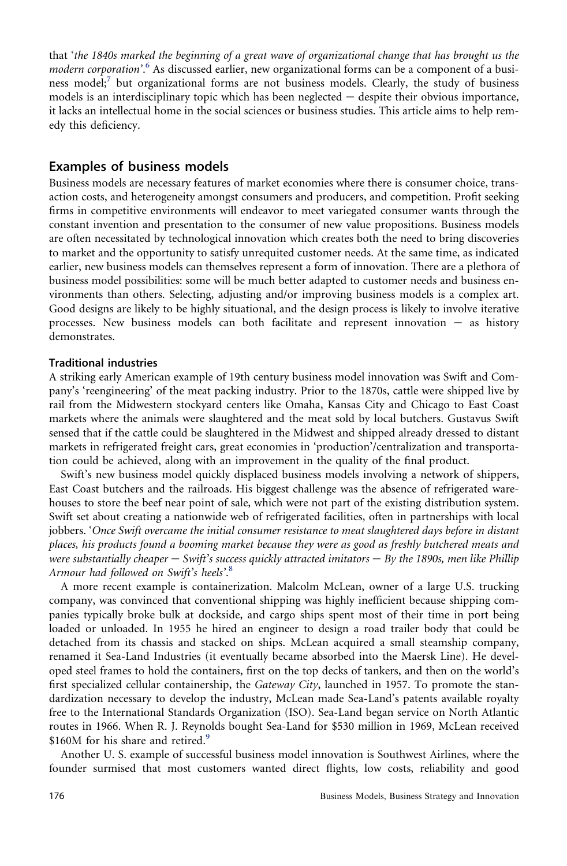that 'the 1840s marked the beginning of a great wave of organizational change that has brought us the modern corporation'.<sup>[6](#page-21-0)</sup> As discussed earlier, new organizational forms can be a component of a business model; $^7$  $^7$  but organizational forms are not business models. Clearly, the study of business models is an interdisciplinary topic which has been neglected  $-$  despite their obvious importance, it lacks an intellectual home in the social sciences or business studies. This article aims to help remedy this deficiency.

#### Examples of business models

Business models are necessary features of market economies where there is consumer choice, transaction costs, and heterogeneity amongst consumers and producers, and competition. Profit seeking firms in competitive environments will endeavor to meet variegated consumer wants through the constant invention and presentation to the consumer of new value propositions. Business models are often necessitated by technological innovation which creates both the need to bring discoveries to market and the opportunity to satisfy unrequited customer needs. At the same time, as indicated earlier, new business models can themselves represent a form of innovation. There are a plethora of business model possibilities: some will be much better adapted to customer needs and business environments than others. Selecting, adjusting and/or improving business models is a complex art. Good designs are likely to be highly situational, and the design process is likely to involve iterative processes. New business models can both facilitate and represent innovation  $-$  as history demonstrates.

#### Traditional industries

A striking early American example of 19th century business model innovation was Swift and Company's 'reengineering' of the meat packing industry. Prior to the 1870s, cattle were shipped live by rail from the Midwestern stockyard centers like Omaha, Kansas City and Chicago to East Coast markets where the animals were slaughtered and the meat sold by local butchers. Gustavus Swift sensed that if the cattle could be slaughtered in the Midwest and shipped already dressed to distant markets in refrigerated freight cars, great economies in 'production'/centralization and transportation could be achieved, along with an improvement in the quality of the final product.

Swift's new business model quickly displaced business models involving a network of shippers, East Coast butchers and the railroads. His biggest challenge was the absence of refrigerated warehouses to store the beef near point of sale, which were not part of the existing distribution system. Swift set about creating a nationwide web of refrigerated facilities, often in partnerships with local jobbers. 'Once Swift overcame the initial consumer resistance to meat slaughtered days before in distant places, his products found a booming market because they were as good as freshly butchered meats and were substantially cheaper  $-$  Swift's success quickly attracted imitators  $-$  By the 1890s, men like Phillip Armour had followed on Swift's heels'.<sup>[8](#page-21-0)</sup>

A more recent example is containerization. Malcolm McLean, owner of a large U.S. trucking company, was convinced that conventional shipping was highly inefficient because shipping companies typically broke bulk at dockside, and cargo ships spent most of their time in port being loaded or unloaded. In 1955 he hired an engineer to design a road trailer body that could be detached from its chassis and stacked on ships. McLean acquired a small steamship company, renamed it Sea-Land Industries (it eventually became absorbed into the Maersk Line). He developed steel frames to hold the containers, first on the top decks of tankers, and then on the world's first specialized cellular containership, the Gateway City, launched in 1957. To promote the standardization necessary to develop the industry, McLean made Sea-Land's patents available royalty free to the International Standards Organization (ISO). Sea-Land began service on North Atlantic routes in 1966. When R. J. Reynolds bought Sea-Land for \$530 million in 1969, McLean received \$160M for his share and retired.<sup>9</sup>

Another U. S. example of successful business model innovation is Southwest Airlines, where the founder surmised that most customers wanted direct flights, low costs, reliability and good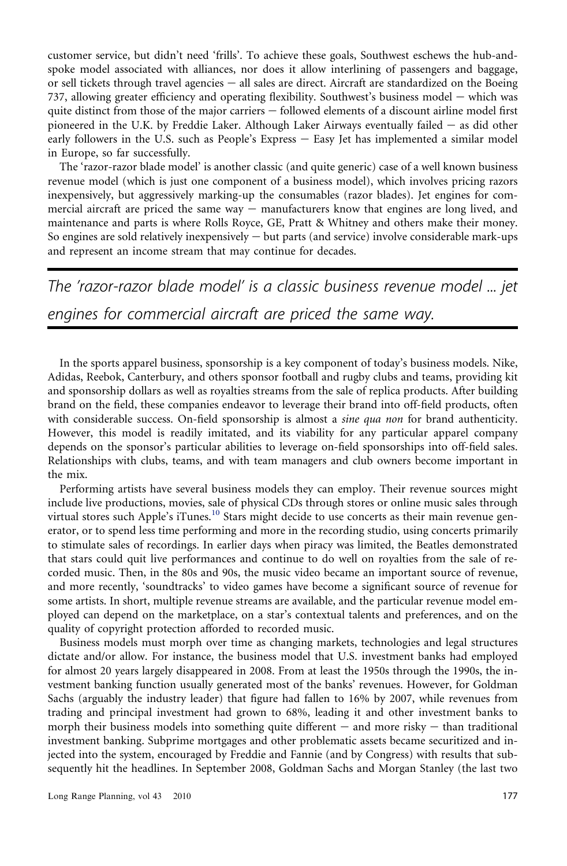customer service, but didn't need 'frills'. To achieve these goals, Southwest eschews the hub-andspoke model associated with alliances, nor does it allow interlining of passengers and baggage, or sell tickets through travel agencies  $-$  all sales are direct. Aircraft are standardized on the Boeing 737, allowing greater efficiency and operating flexibility. Southwest's business model  $-$  which was quite distinct from those of the major carriers – followed elements of a discount airline model first pioneered in the U.K. by Freddie Laker. Although Laker Airways eventually failed  $-$  as did other early followers in the U.S. such as People's Express  $-$  Easy Jet has implemented a similar model in Europe, so far successfully.

The 'razor-razor blade model' is another classic (and quite generic) case of a well known business revenue model (which is just one component of a business model), which involves pricing razors inexpensively, but aggressively marking-up the consumables (razor blades). Jet engines for commercial aircraft are priced the same way  $-$  manufacturers know that engines are long lived, and maintenance and parts is where Rolls Royce, GE, Pratt & Whitney and others make their money. So engines are sold relatively inexpensively  $-$  but parts (and service) involve considerable mark-ups and represent an income stream that may continue for decades.

The 'razor-razor blade model' is a classic business revenue model ... jet engines for commercial aircraft are priced the same way.

In the sports apparel business, sponsorship is a key component of today's business models. Nike, Adidas, Reebok, Canterbury, and others sponsor football and rugby clubs and teams, providing kit and sponsorship dollars as well as royalties streams from the sale of replica products. After building brand on the field, these companies endeavor to leverage their brand into off-field products, often with considerable success. On-field sponsorship is almost a *sine qua non* for brand authenticity. However, this model is readily imitated, and its viability for any particular apparel company depends on the sponsor's particular abilities to leverage on-field sponsorships into off-field sales. Relationships with clubs, teams, and with team managers and club owners become important in the mix.

Performing artists have several business models they can employ. Their revenue sources might include live productions, movies, sale of physical CDs through stores or online music sales through virtual stores such Apple's iTunes.<sup>10</sup> Stars might decide to use concerts as their main revenue generator, or to spend less time performing and more in the recording studio, using concerts primarily to stimulate sales of recordings. In earlier days when piracy was limited, the Beatles demonstrated that stars could quit live performances and continue to do well on royalties from the sale of recorded music. Then, in the 80s and 90s, the music video became an important source of revenue, and more recently, 'soundtracks' to video games have become a significant source of revenue for some artists. In short, multiple revenue streams are available, and the particular revenue model employed can depend on the marketplace, on a star's contextual talents and preferences, and on the quality of copyright protection afforded to recorded music.

Business models must morph over time as changing markets, technologies and legal structures dictate and/or allow. For instance, the business model that U.S. investment banks had employed for almost 20 years largely disappeared in 2008. From at least the 1950s through the 1990s, the investment banking function usually generated most of the banks' revenues. However, for Goldman Sachs (arguably the industry leader) that figure had fallen to 16% by 2007, while revenues from trading and principal investment had grown to 68%, leading it and other investment banks to morph their business models into something quite different  $-$  and more risky  $-$  than traditional investment banking. Subprime mortgages and other problematic assets became securitized and injected into the system, encouraged by Freddie and Fannie (and by Congress) with results that subsequently hit the headlines. In September 2008, Goldman Sachs and Morgan Stanley (the last two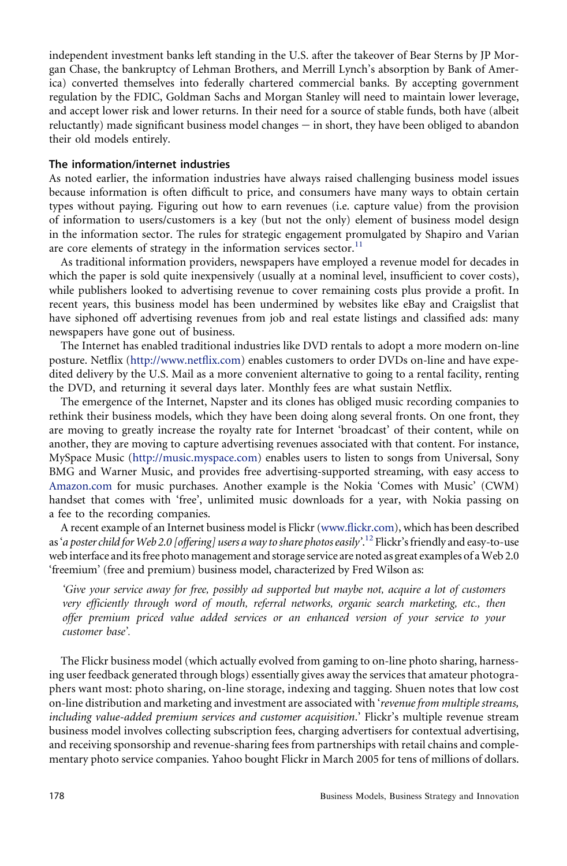independent investment banks left standing in the U.S. after the takeover of Bear Sterns by JP Morgan Chase, the bankruptcy of Lehman Brothers, and Merrill Lynch's absorption by Bank of America) converted themselves into federally chartered commercial banks. By accepting government regulation by the FDIC, Goldman Sachs and Morgan Stanley will need to maintain lower leverage, and accept lower risk and lower returns. In their need for a source of stable funds, both have (albeit reluctantly) made significant business model changes  $-$  in short, they have been obliged to abandon their old models entirely.

#### The information/internet industries

As noted earlier, the information industries have always raised challenging business model issues because information is often difficult to price, and consumers have many ways to obtain certain types without paying. Figuring out how to earn revenues (i.e. capture value) from the provision of information to users/customers is a key (but not the only) element of business model design in the information sector. The rules for strategic engagement promulgated by Shapiro and Varian are core elements of strategy in the information services sector.<sup>[11](#page-21-0)</sup>

As traditional information providers, newspapers have employed a revenue model for decades in which the paper is sold quite inexpensively (usually at a nominal level, insufficient to cover costs), while publishers looked to advertising revenue to cover remaining costs plus provide a profit. In recent years, this business model has been undermined by websites like eBay and Craigslist that have siphoned off advertising revenues from job and real estate listings and classified ads: many newspapers have gone out of business.

The Internet has enabled traditional industries like DVD rentals to adopt a more modern on-line posture. Netflix [\(http://www.netflix.com](http://www.netflix.com)) enables customers to order DVDs on-line and have expedited delivery by the U.S. Mail as a more convenient alternative to going to a rental facility, renting the DVD, and returning it several days later. Monthly fees are what sustain Netflix.

The emergence of the Internet, Napster and its clones has obliged music recording companies to rethink their business models, which they have been doing along several fronts. On one front, they are moving to greatly increase the royalty rate for Internet 'broadcast' of their content, while on another, they are moving to capture advertising revenues associated with that content. For instance, MySpace Music (<http://music.myspace.com>) enables users to listen to songs from Universal, Sony BMG and Warner Music, and provides free advertising-supported streaming, with easy access to [Amazon.com](http://Amazon.com) for music purchases. Another example is the Nokia 'Comes with Music' (CWM) handset that comes with 'free', unlimited music downloads for a year, with Nokia passing on a fee to the recording companies.

A recent example of an Internet business model is Flickr ([www.flickr.com\)](http://www.flickr.com), which has been described as '*a poster child for Web 2.0 [offering] users a way to share photos easily*'.<sup>[12](#page-21-0)</sup> Flickr's friendly and easy-to-use web interface and its free photo management and storage service are noted as great examples of a Web 2.0 'freemium' (free and premium) business model, characterized by Fred Wilson as:

'Give your service away for free, possibly ad supported but maybe not, acquire a lot of customers very efficiently through word of mouth, referral networks, organic search marketing, etc., then offer premium priced value added services or an enhanced version of your service to your customer base'.

The Flickr business model (which actually evolved from gaming to on-line photo sharing, harnessing user feedback generated through blogs) essentially gives away the services that amateur photographers want most: photo sharing, on-line storage, indexing and tagging. Shuen notes that low cost on-line distribution and marketing and investment are associated with 'revenue from multiple streams, including value-added premium services and customer acquisition.' Flickr's multiple revenue stream business model involves collecting subscription fees, charging advertisers for contextual advertising, and receiving sponsorship and revenue-sharing fees from partnerships with retail chains and complementary photo service companies. Yahoo bought Flickr in March 2005 for tens of millions of dollars.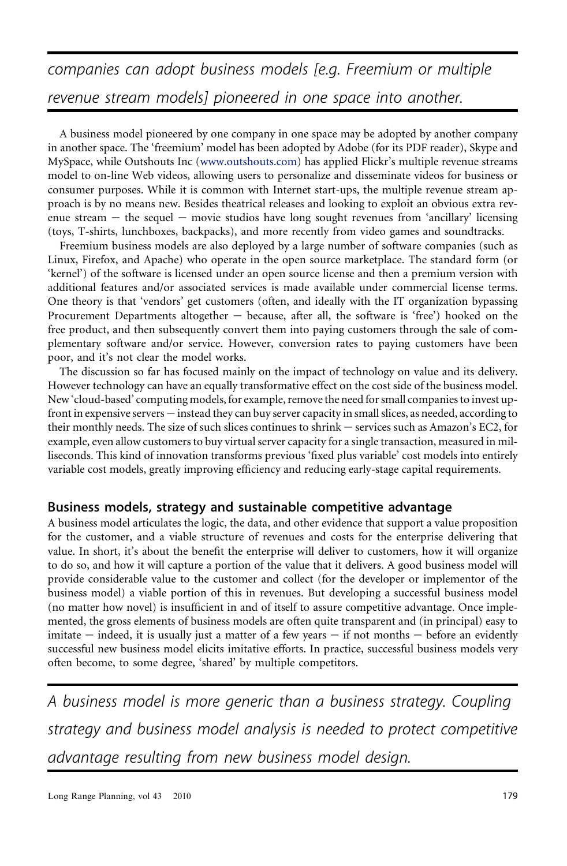# companies can adopt business models [e.g. Freemium or multiple revenue stream models] pioneered in one space into another.

A business model pioneered by one company in one space may be adopted by another company in another space. The 'freemium' model has been adopted by Adobe (for its PDF reader), Skype and MySpace, while Outshouts Inc [\(www.outshouts.com](http://www.outshouts.com)) has applied Flickr's multiple revenue streams model to on-line Web videos, allowing users to personalize and disseminate videos for business or consumer purposes. While it is common with Internet start-ups, the multiple revenue stream approach is by no means new. Besides theatrical releases and looking to exploit an obvious extra revenue stream  $-$  the sequel  $-$  movie studios have long sought revenues from 'ancillary' licensing (toys, T-shirts, lunchboxes, backpacks), and more recently from video games and soundtracks.

Freemium business models are also deployed by a large number of software companies (such as Linux, Firefox, and Apache) who operate in the open source marketplace. The standard form (or 'kernel') of the software is licensed under an open source license and then a premium version with additional features and/or associated services is made available under commercial license terms. One theory is that 'vendors' get customers (often, and ideally with the IT organization bypassing Procurement Departments altogether  $-$  because, after all, the software is 'free') hooked on the free product, and then subsequently convert them into paying customers through the sale of complementary software and/or service. However, conversion rates to paying customers have been poor, and it's not clear the model works.

The discussion so far has focused mainly on the impact of technology on value and its delivery. However technology can have an equally transformative effect on the cost side of the business model. New 'cloud-based' computing models, for example, remove the need for small companies to invest upfront in expensive servers  $-$  instead they can buy server capacity in small slices, as needed, according to their monthly needs. The size of such slices continues to shrink – services such as Amazon's EC2, for example, even allow customers to buy virtual server capacity for a single transaction, measured in milliseconds. This kind of innovation transforms previous 'fixed plus variable' cost models into entirely variable cost models, greatly improving efficiency and reducing early-stage capital requirements.

## Business models, strategy and sustainable competitive advantage

A business model articulates the logic, the data, and other evidence that support a value proposition for the customer, and a viable structure of revenues and costs for the enterprise delivering that value. In short, it's about the benefit the enterprise will deliver to customers, how it will organize to do so, and how it will capture a portion of the value that it delivers. A good business model will provide considerable value to the customer and collect (for the developer or implementor of the business model) a viable portion of this in revenues. But developing a successful business model (no matter how novel) is insufficient in and of itself to assure competitive advantage. Once implemented, the gross elements of business models are often quite transparent and (in principal) easy to imitate  $-$  indeed, it is usually just a matter of a few years  $-$  if not months  $-$  before an evidently successful new business model elicits imitative efforts. In practice, successful business models very often become, to some degree, 'shared' by multiple competitors.

A business model is more generic than a business strategy. Coupling strategy and business model analysis is needed to protect competitive advantage resulting from new business model design.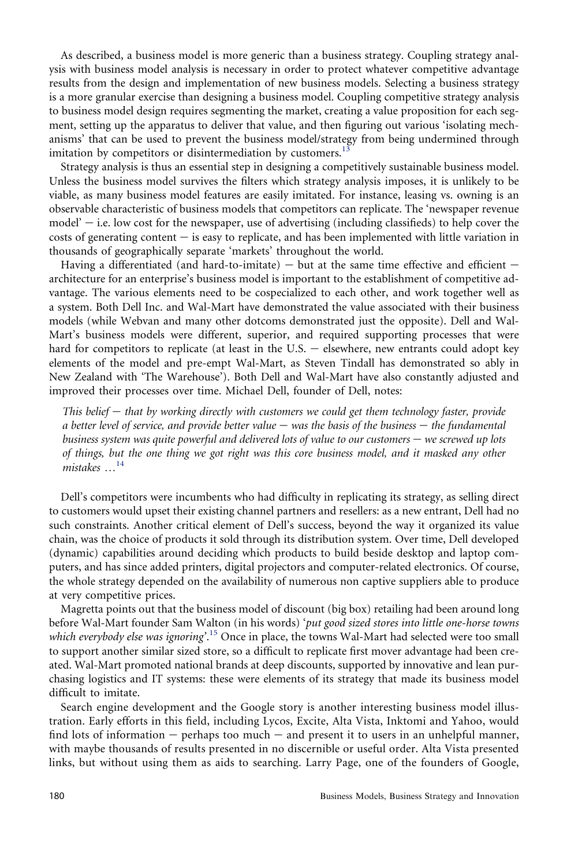As described, a business model is more generic than a business strategy. Coupling strategy analysis with business model analysis is necessary in order to protect whatever competitive advantage results from the design and implementation of new business models. Selecting a business strategy is a more granular exercise than designing a business model. Coupling competitive strategy analysis to business model design requires segmenting the market, creating a value proposition for each segment, setting up the apparatus to deliver that value, and then figuring out various 'isolating mechanisms' that can be used to prevent the business model/strategy from being undermined through imitation by competitors or disintermediation by customers.<sup>13</sup>

Strategy analysis is thus an essential step in designing a competitively sustainable business model. Unless the business model survives the filters which strategy analysis imposes, it is unlikely to be viable, as many business model features are easily imitated. For instance, leasing vs. owning is an observable characteristic of business models that competitors can replicate. The 'newspaper revenue  $model' - i.e.$  low cost for the newspaper, use of advertising (including classifieds) to help cover the costs of generating content  $-$  is easy to replicate, and has been implemented with little variation in thousands of geographically separate 'markets' throughout the world.

Having a differentiated (and hard-to-imitate)  $-$  but at the same time effective and efficient  $$ architecture for an enterprise's business model is important to the establishment of competitive advantage. The various elements need to be cospecialized to each other, and work together well as a system. Both Dell Inc. and Wal-Mart have demonstrated the value associated with their business models (while Webvan and many other dotcoms demonstrated just the opposite). Dell and Wal-Mart's business models were different, superior, and required supporting processes that were hard for competitors to replicate (at least in the U.S.  $-$  elsewhere, new entrants could adopt key elements of the model and pre-empt Wal-Mart, as Steven Tindall has demonstrated so ably in New Zealand with 'The Warehouse'). Both Dell and Wal-Mart have also constantly adjusted and improved their processes over time. Michael Dell, founder of Dell, notes:

This belief  $-$  that by working directly with customers we could get them technology faster, provide a better level of service, and provide better value  $-$  was the basis of the business  $-$  the fundamental business system was quite powerful and delivered lots of value to our customers – we screwed up lots of things, but the one thing we got right was this core business model, and it masked any other  $mistakes \dots$ <sup>[14](#page-21-0)</sup>

Dell's competitors were incumbents who had difficulty in replicating its strategy, as selling direct to customers would upset their existing channel partners and resellers: as a new entrant, Dell had no such constraints. Another critical element of Dell's success, beyond the way it organized its value chain, was the choice of products it sold through its distribution system. Over time, Dell developed (dynamic) capabilities around deciding which products to build beside desktop and laptop computers, and has since added printers, digital projectors and computer-related electronics. Of course, the whole strategy depended on the availability of numerous non captive suppliers able to produce at very competitive prices.

Magretta points out that the business model of discount (big box) retailing had been around long before Wal-Mart founder Sam Walton (in his words) 'put good sized stores into little one-horse towns which everybody else was ignoring'.<sup>[15](#page-21-0)</sup> Once in place, the towns Wal-Mart had selected were too small to support another similar sized store, so a difficult to replicate first mover advantage had been created. Wal-Mart promoted national brands at deep discounts, supported by innovative and lean purchasing logistics and IT systems: these were elements of its strategy that made its business model difficult to imitate.

Search engine development and the Google story is another interesting business model illustration. Early efforts in this field, including Lycos, Excite, Alta Vista, Inktomi and Yahoo, would find lots of information  $-$  perhaps too much  $-$  and present it to users in an unhelpful manner, with maybe thousands of results presented in no discernible or useful order. Alta Vista presented links, but without using them as aids to searching. Larry Page, one of the founders of Google,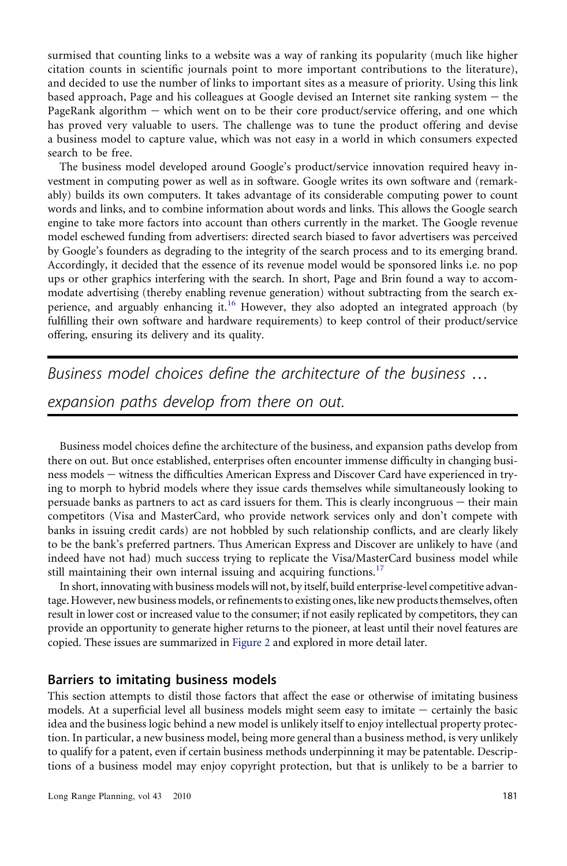surmised that counting links to a website was a way of ranking its popularity (much like higher citation counts in scientific journals point to more important contributions to the literature), and decided to use the number of links to important sites as a measure of priority. Using this link based approach, Page and his colleagues at Google devised an Internet site ranking system  $-$  the PageRank algorithm  $-$  which went on to be their core product/service offering, and one which has proved very valuable to users. The challenge was to tune the product offering and devise a business model to capture value, which was not easy in a world in which consumers expected search to be free.

The business model developed around Google's product/service innovation required heavy investment in computing power as well as in software. Google writes its own software and (remarkably) builds its own computers. It takes advantage of its considerable computing power to count words and links, and to combine information about words and links. This allows the Google search engine to take more factors into account than others currently in the market. The Google revenue model eschewed funding from advertisers: directed search biased to favor advertisers was perceived by Google's founders as degrading to the integrity of the search process and to its emerging brand. Accordingly, it decided that the essence of its revenue model would be sponsored links i.e. no pop ups or other graphics interfering with the search. In short, Page and Brin found a way to accommodate advertising (thereby enabling revenue generation) without subtracting from the search ex-perience, and arguably enhancing it.<sup>[16](#page-21-0)</sup> However, they also adopted an integrated approach (by fulfilling their own software and hardware requirements) to keep control of their product/service offering, ensuring its delivery and its quality.

Business model choices define the architecture of the business ... expansion paths develop from there on out.

Business model choices define the architecture of the business, and expansion paths develop from there on out. But once established, enterprises often encounter immense difficulty in changing business models – witness the difficulties American Express and Discover Card have experienced in trying to morph to hybrid models where they issue cards themselves while simultaneously looking to persuade banks as partners to act as card issuers for them. This is clearly incongruous — their main competitors (Visa and MasterCard, who provide network services only and don't compete with banks in issuing credit cards) are not hobbled by such relationship conflicts, and are clearly likely to be the bank's preferred partners. Thus American Express and Discover are unlikely to have (and indeed have not had) much success trying to replicate the Visa/MasterCard business model while still maintaining their own internal issuing and acquiring functions.<sup>[17](#page-21-0)</sup>

In short, innovating with business models will not, by itself, build enterprise-level competitive advantage. However, new business models, or refinements to existing ones, like new products themselves, often result in lower cost or increased value to the consumer; if not easily replicated by competitors, they can provide an opportunity to generate higher returns to the pioneer, at least until their novel features are copied. These issues are summarized in [Figure 2](#page-10-0) and explored in more detail later.

#### Barriers to imitating business models

This section attempts to distil those factors that affect the ease or otherwise of imitating business models. At a superficial level all business models might seem easy to imitate  $-$  certainly the basic idea and the business logic behind a new model is unlikely itself to enjoy intellectual property protection. In particular, a new business model, being more general than a business method, is very unlikely to qualify for a patent, even if certain business methods underpinning it may be patentable. Descriptions of a business model may enjoy copyright protection, but that is unlikely to be a barrier to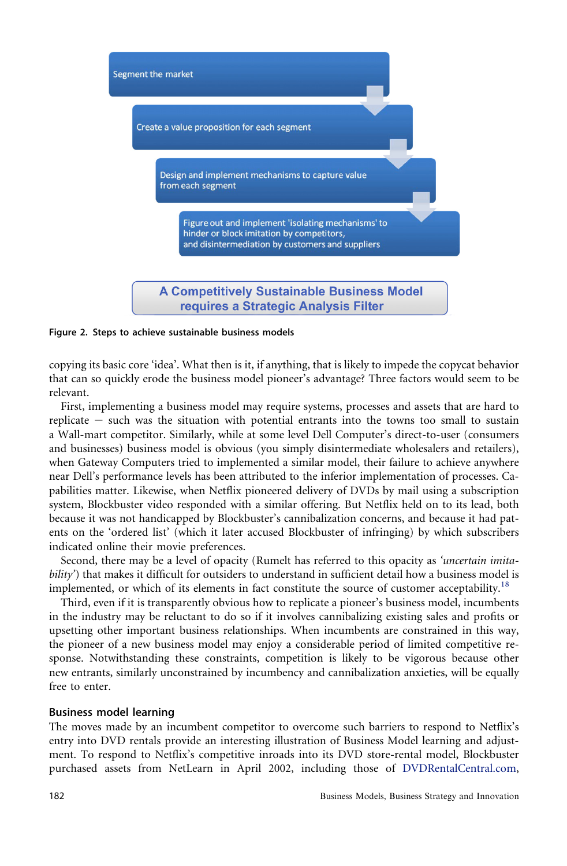<span id="page-10-0"></span>

Figure 2. Steps to achieve sustainable business models

copying its basic core 'idea'. What then is it, if anything, that is likely to impede the copycat behavior that can so quickly erode the business model pioneer's advantage? Three factors would seem to be relevant.

First, implementing a business model may require systems, processes and assets that are hard to replicate  $-$  such was the situation with potential entrants into the towns too small to sustain a Wall-mart competitor. Similarly, while at some level Dell Computer's direct-to-user (consumers and businesses) business model is obvious (you simply disintermediate wholesalers and retailers), when Gateway Computers tried to implemented a similar model, their failure to achieve anywhere near Dell's performance levels has been attributed to the inferior implementation of processes. Capabilities matter. Likewise, when Netflix pioneered delivery of DVDs by mail using a subscription system, Blockbuster video responded with a similar offering. But Netflix held on to its lead, both because it was not handicapped by Blockbuster's cannibalization concerns, and because it had patents on the 'ordered list' (which it later accused Blockbuster of infringing) by which subscribers indicated online their movie preferences.

Second, there may be a level of opacity (Rumelt has referred to this opacity as 'uncertain imitability') that makes it difficult for outsiders to understand in sufficient detail how a business model is implemented, or which of its elements in fact constitute the source of customer acceptability.<sup>[18](#page-21-0)</sup>

Third, even if it is transparently obvious how to replicate a pioneer's business model, incumbents in the industry may be reluctant to do so if it involves cannibalizing existing sales and profits or upsetting other important business relationships. When incumbents are constrained in this way, the pioneer of a new business model may enjoy a considerable period of limited competitive response. Notwithstanding these constraints, competition is likely to be vigorous because other new entrants, similarly unconstrained by incumbency and cannibalization anxieties, will be equally free to enter.

#### Business model learning

The moves made by an incumbent competitor to overcome such barriers to respond to Netflix's entry into DVD rentals provide an interesting illustration of Business Model learning and adjustment. To respond to Netflix's competitive inroads into its DVD store-rental model, Blockbuster purchased assets from NetLearn in April 2002, including those of [DVDRentalCentral.com,](http://DVDRentalCentral.com)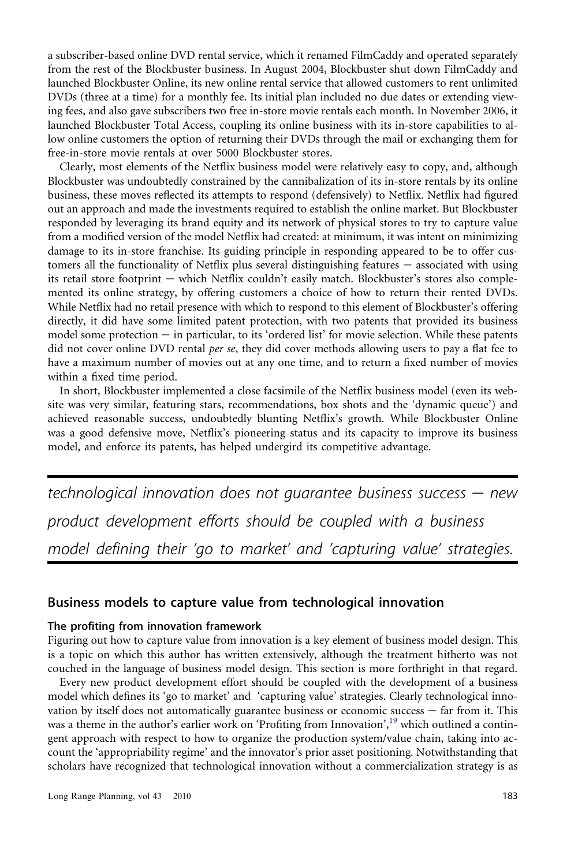a subscriber-based online DVD rental service, which it renamed FilmCaddy and operated separately from the rest of the Blockbuster business. In August 2004, Blockbuster shut down FilmCaddy and launched Blockbuster Online, its new online rental service that allowed customers to rent unlimited DVDs (three at a time) for a monthly fee. Its initial plan included no due dates or extending viewing fees, and also gave subscribers two free in-store movie rentals each month. In November 2006, it launched Blockbuster Total Access, coupling its online business with its in-store capabilities to allow online customers the option of returning their DVDs through the mail or exchanging them for free-in-store movie rentals at over 5000 Blockbuster stores.

Clearly, most elements of the Netflix business model were relatively easy to copy, and, although Blockbuster was undoubtedly constrained by the cannibalization of its in-store rentals by its online business, these moves reflected its attempts to respond (defensively) to Netflix. Netflix had figured out an approach and made the investments required to establish the online market. But Blockbuster responded by leveraging its brand equity and its network of physical stores to try to capture value from a modified version of the model Netflix had created: at minimum, it was intent on minimizing damage to its in-store franchise. Its guiding principle in responding appeared to be to offer customers all the functionality of Netflix plus several distinguishing features - associated with using its retail store footprint  $-$  which Netflix couldn't easily match. Blockbuster's stores also complemented its online strategy, by offering customers a choice of how to return their rented DVDs. While Netflix had no retail presence with which to respond to this element of Blockbuster's offering directly, it did have some limited patent protection, with two patents that provided its business model some protection  $-$  in particular, to its 'ordered list' for movie selection. While these patents did not cover online DVD rental per se, they did cover methods allowing users to pay a flat fee to have a maximum number of movies out at any one time, and to return a fixed number of movies within a fixed time period.

In short, Blockbuster implemented a close facsimile of the Netflix business model (even its website was very similar, featuring stars, recommendations, box shots and the 'dynamic queue') and achieved reasonable success, undoubtedly blunting Netflix's growth. While Blockbuster Online was a good defensive move, Netflix's pioneering status and its capacity to improve its business model, and enforce its patents, has helped undergird its competitive advantage.

technological innovation does not quarantee business success  $-$  new product development efforts should be coupled with a business model defining their 'go to market' and 'capturing value' strategies.

## Business models to capture value from technological innovation

#### The profiting from innovation framework

Figuring out how to capture value from innovation is a key element of business model design. This is a topic on which this author has written extensively, although the treatment hitherto was not couched in the language of business model design. This section is more forthright in that regard.

Every new product development effort should be coupled with the development of a business model which defines its 'go to market' and 'capturing value' strategies. Clearly technological innovation by itself does not automatically guarantee business or economic success  $-$  far from it. This was a theme in the author's earlier work on 'Profiting from Innovation',<sup>19</sup> which outlined a contingent approach with respect to how to organize the production system/value chain, taking into account the 'appropriability regime' and the innovator's prior asset positioning. Notwithstanding that scholars have recognized that technological innovation without a commercialization strategy is as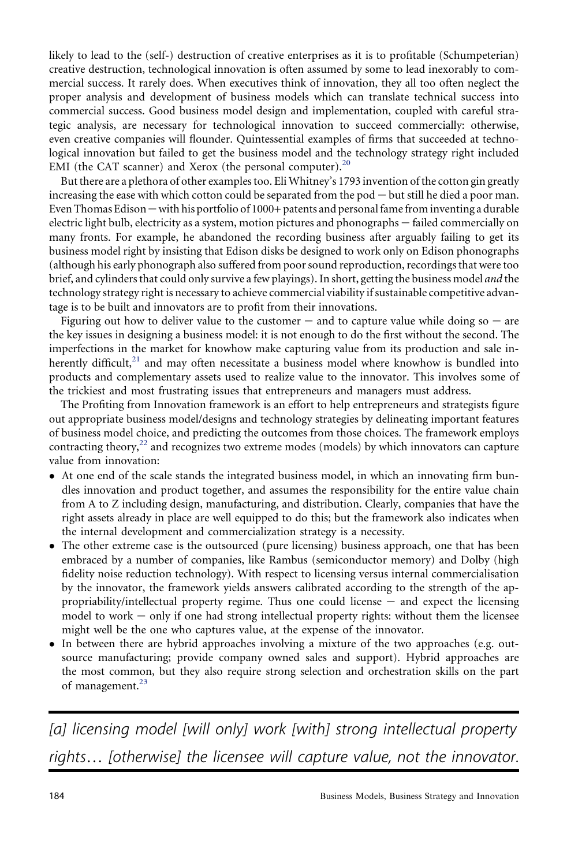likely to lead to the (self-) destruction of creative enterprises as it is to profitable (Schumpeterian) creative destruction, technological innovation is often assumed by some to lead inexorably to commercial success. It rarely does. When executives think of innovation, they all too often neglect the proper analysis and development of business models which can translate technical success into commercial success. Good business model design and implementation, coupled with careful strategic analysis, are necessary for technological innovation to succeed commercially: otherwise, even creative companies will flounder. Quintessential examples of firms that succeeded at technological innovation but failed to get the business model and the technology strategy right included EMI (the CAT scanner) and Xerox (the personal computer).<sup>[20](#page-21-0)</sup>

But there are a plethora of other examples too. Eli Whitney's 1793 invention of the cotton gin greatly increasing the ease with which cotton could be separated from the  $pod - but$  still he died a poor man. Even Thomas Edison  $-$  with his portfolio of 1000+ patents and personal fame from inventing a durable electric light bulb, electricity as a system, motion pictures and phonographs – failed commercially on many fronts. For example, he abandoned the recording business after arguably failing to get its business model right by insisting that Edison disks be designed to work only on Edison phonographs (although his early phonograph also suffered from poor sound reproduction, recordings that were too brief, and cylinders that could only survive a few playings). In short, getting the business model *and* the technology strategy right is necessary to achieve commercial viability if sustainable competitive advantage is to be built and innovators are to profit from their innovations.

Figuring out how to deliver value to the customer  $-$  and to capture value while doing so  $-$  are the key issues in designing a business model: it is not enough to do the first without the second. The imperfections in the market for knowhow make capturing value from its production and sale in-herently difficult,<sup>[21](#page-21-0)</sup> and may often necessitate a business model where knowhow is bundled into products and complementary assets used to realize value to the innovator. This involves some of the trickiest and most frustrating issues that entrepreneurs and managers must address.

The Profiting from Innovation framework is an effort to help entrepreneurs and strategists figure out appropriate business model/designs and technology strategies by delineating important features of business model choice, and predicting the outcomes from those choices. The framework employs contracting theory, $^{22}$  $^{22}$  $^{22}$  and recognizes two extreme modes (models) by which innovators can capture value from innovation:

- At one end of the scale stands the integrated business model, in which an innovating firm bundles innovation and product together, and assumes the responsibility for the entire value chain from A to Z including design, manufacturing, and distribution. Clearly, companies that have the right assets already in place are well equipped to do this; but the framework also indicates when the internal development and commercialization strategy is a necessity.
- The other extreme case is the outsourced (pure licensing) business approach, one that has been embraced by a number of companies, like Rambus (semiconductor memory) and Dolby (high fidelity noise reduction technology). With respect to licensing versus internal commercialisation by the innovator, the framework yields answers calibrated according to the strength of the appropriability/intellectual property regime. Thus one could license  $-$  and expect the licensing model to work  $-$  only if one had strong intellectual property rights: without them the licensee might well be the one who captures value, at the expense of the innovator.
- In between there are hybrid approaches involving a mixture of the two approaches (e.g. outsource manufacturing; provide company owned sales and support). Hybrid approaches are the most common, but they also require strong selection and orchestration skills on the part of management.<sup>[23](#page-22-0)</sup>

[a] licensing model [will only] work [with] strong intellectual property rights... [otherwise] the licensee will capture value, not the innovator.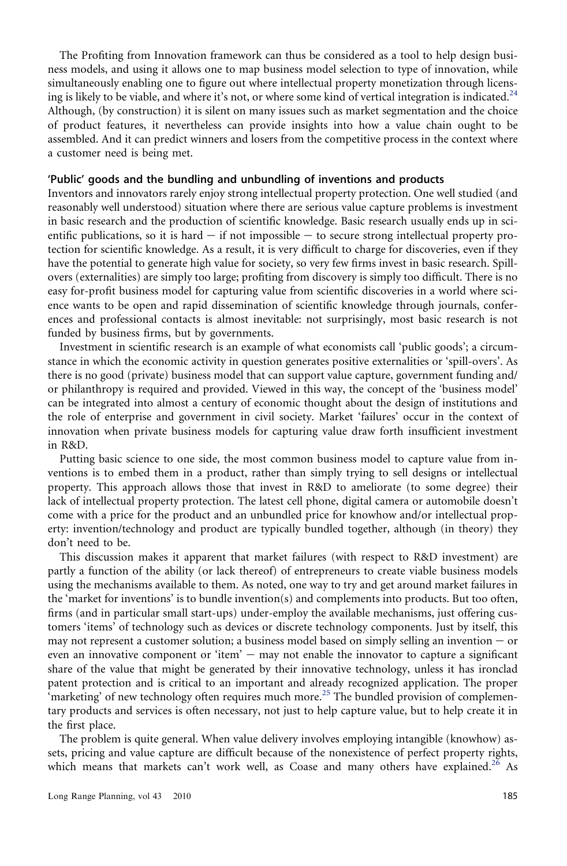The Profiting from Innovation framework can thus be considered as a tool to help design business models, and using it allows one to map business model selection to type of innovation, while simultaneously enabling one to figure out where intellectual property monetization through licensing is likely to be viable, and where it's not, or where some kind of vertical integration is indicated.<sup>24</sup> Although, (by construction) it is silent on many issues such as market segmentation and the choice of product features, it nevertheless can provide insights into how a value chain ought to be assembled. And it can predict winners and losers from the competitive process in the context where a customer need is being met.

#### 'Public' goods and the bundling and unbundling of inventions and products

Inventors and innovators rarely enjoy strong intellectual property protection. One well studied (and reasonably well understood) situation where there are serious value capture problems is investment in basic research and the production of scientific knowledge. Basic research usually ends up in scientific publications, so it is hard  $-$  if not impossible  $-$  to secure strong intellectual property protection for scientific knowledge. As a result, it is very difficult to charge for discoveries, even if they have the potential to generate high value for society, so very few firms invest in basic research. Spillovers (externalities) are simply too large; profiting from discovery is simply too difficult. There is no easy for-profit business model for capturing value from scientific discoveries in a world where science wants to be open and rapid dissemination of scientific knowledge through journals, conferences and professional contacts is almost inevitable: not surprisingly, most basic research is not funded by business firms, but by governments.

Investment in scientific research is an example of what economists call 'public goods'; a circumstance in which the economic activity in question generates positive externalities or 'spill-overs'. As there is no good (private) business model that can support value capture, government funding and/ or philanthropy is required and provided. Viewed in this way, the concept of the 'business model' can be integrated into almost a century of economic thought about the design of institutions and the role of enterprise and government in civil society. Market 'failures' occur in the context of innovation when private business models for capturing value draw forth insufficient investment in R&D.

Putting basic science to one side, the most common business model to capture value from inventions is to embed them in a product, rather than simply trying to sell designs or intellectual property. This approach allows those that invest in R&D to ameliorate (to some degree) their lack of intellectual property protection. The latest cell phone, digital camera or automobile doesn't come with a price for the product and an unbundled price for knowhow and/or intellectual property: invention/technology and product are typically bundled together, although (in theory) they don't need to be.

This discussion makes it apparent that market failures (with respect to R&D investment) are partly a function of the ability (or lack thereof) of entrepreneurs to create viable business models using the mechanisms available to them. As noted, one way to try and get around market failures in the 'market for inventions' is to bundle invention(s) and complements into products. But too often, firms (and in particular small start-ups) under-employ the available mechanisms, just offering customers 'items' of technology such as devices or discrete technology components. Just by itself, this may not represent a customer solution; a business model based on simply selling an invention  $-$  or even an innovative component or 'item'  $-$  may not enable the innovator to capture a significant share of the value that might be generated by their innovative technology, unless it has ironclad patent protection and is critical to an important and already recognized application. The proper 'marketing' of new technology often requires much more.<sup>[25](#page-22-0)</sup> The bundled provision of complementary products and services is often necessary, not just to help capture value, but to help create it in the first place.

The problem is quite general. When value delivery involves employing intangible (knowhow) assets, pricing and value capture are difficult because of the nonexistence of perfect property rights, which means that markets can't work well, as Coase and many others have explained.<sup>[26](#page-22-0)</sup> As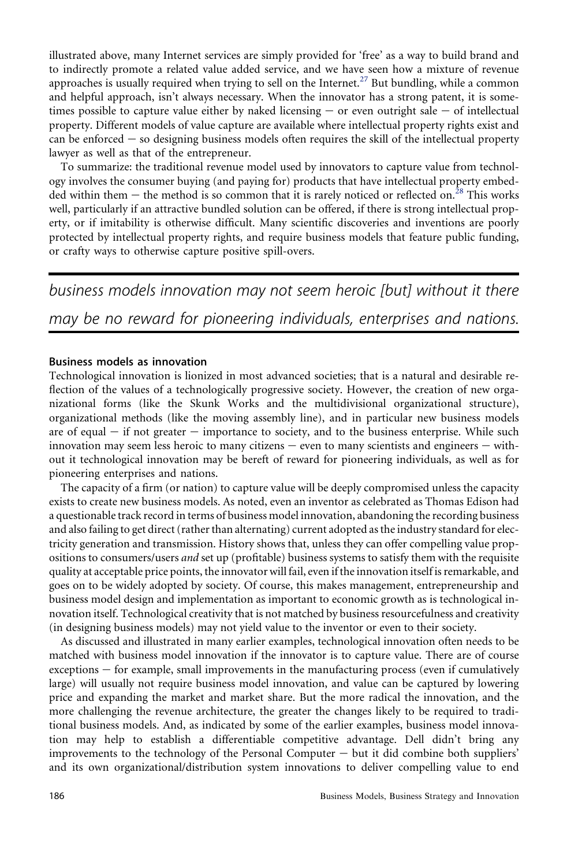illustrated above, many Internet services are simply provided for 'free' as a way to build brand and to indirectly promote a related value added service, and we have seen how a mixture of revenue approaches is usually required when trying to sell on the Internet.<sup>[27](#page-22-0)</sup> But bundling, while a common and helpful approach, isn't always necessary. When the innovator has a strong patent, it is sometimes possible to capture value either by naked licensing  $-$  or even outright sale  $-$  of intellectual property. Different models of value capture are available where intellectual property rights exist and can be enforced  $-$  so designing business models often requires the skill of the intellectual property lawyer as well as that of the entrepreneur.

To summarize: the traditional revenue model used by innovators to capture value from technology involves the consumer buying (and paying for) products that have intellectual property embed-ded within them – the method is so common that it is rarely noticed or reflected on.<sup>[28](#page-22-0)</sup> This works well, particularly if an attractive bundled solution can be offered, if there is strong intellectual property, or if imitability is otherwise difficult. Many scientific discoveries and inventions are poorly protected by intellectual property rights, and require business models that feature public funding, or crafty ways to otherwise capture positive spill-overs.

business models innovation may not seem heroic [but] without it there may be no reward for pioneering individuals, enterprises and nations.

#### Business models as innovation

Technological innovation is lionized in most advanced societies; that is a natural and desirable reflection of the values of a technologically progressive society. However, the creation of new organizational forms (like the Skunk Works and the multidivisional organizational structure), organizational methods (like the moving assembly line), and in particular new business models are of equal  $-$  if not greater  $-$  importance to society, and to the business enterprise. While such innovation may seem less heroic to many citizens  $-$  even to many scientists and engineers  $-$  without it technological innovation may be bereft of reward for pioneering individuals, as well as for pioneering enterprises and nations.

The capacity of a firm (or nation) to capture value will be deeply compromised unless the capacity exists to create new business models. As noted, even an inventor as celebrated as Thomas Edison had a questionable track record in terms of business model innovation, abandoning the recording business and also failing to get direct (rather than alternating) current adopted as the industry standard for electricity generation and transmission. History shows that, unless they can offer compelling value propositions to consumers/users and set up (profitable) business systems to satisfy them with the requisite quality at acceptable price points, the innovator will fail, even if the innovation itself is remarkable, and goes on to be widely adopted by society. Of course, this makes management, entrepreneurship and business model design and implementation as important to economic growth as is technological innovation itself. Technological creativity that is not matched by business resourcefulness and creativity (in designing business models) may not yield value to the inventor or even to their society.

As discussed and illustrated in many earlier examples, technological innovation often needs to be matched with business model innovation if the innovator is to capture value. There are of course  $exceptions - for example, small improvements in the manufacturing process (even if cumulatively)$ large) will usually not require business model innovation, and value can be captured by lowering price and expanding the market and market share. But the more radical the innovation, and the more challenging the revenue architecture, the greater the changes likely to be required to traditional business models. And, as indicated by some of the earlier examples, business model innovation may help to establish a differentiable competitive advantage. Dell didn't bring any improvements to the technology of the Personal Computer  $-$  but it did combine both suppliers' and its own organizational/distribution system innovations to deliver compelling value to end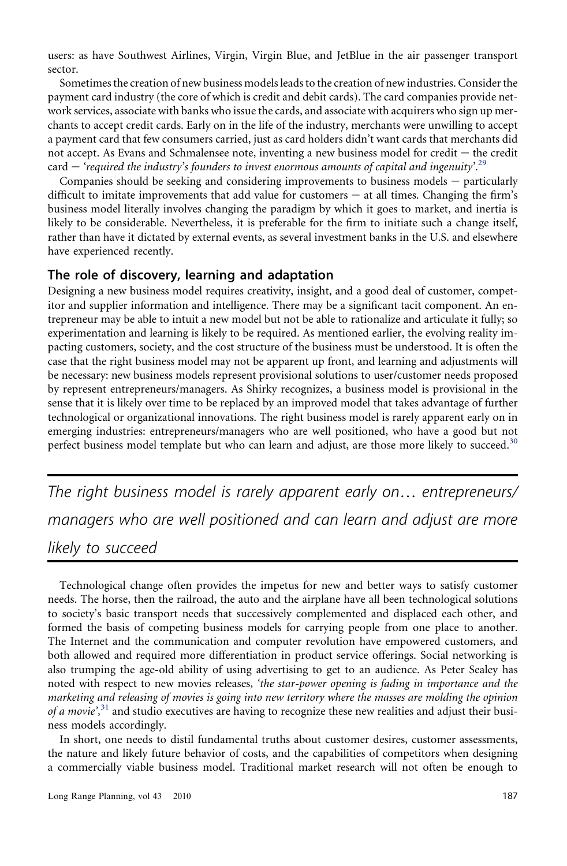users: as have Southwest Airlines, Virgin, Virgin Blue, and JetBlue in the air passenger transport sector.

Sometimes the creation of new business models leads to the creation of new industries. Consider the payment card industry (the core of which is credit and debit cards). The card companies provide network services, associate with banks who issue the cards, and associate with acquirers who sign up merchants to accept credit cards. Early on in the life of the industry, merchants were unwilling to accept a payment card that few consumers carried, just as card holders didn't want cards that merchants did not accept. As Evans and Schmalensee note, inventing a new business model for credit – the credit card  $-$  'required the industry's founders to invest enormous amounts of capital and ingenuity'.<sup>[29](#page-22-0)</sup>

Companies should be seeking and considering improvements to business models  $-$  particularly difficult to imitate improvements that add value for customers  $-$  at all times. Changing the firm's business model literally involves changing the paradigm by which it goes to market, and inertia is likely to be considerable. Nevertheless, it is preferable for the firm to initiate such a change itself, rather than have it dictated by external events, as several investment banks in the U.S. and elsewhere have experienced recently.

#### The role of discovery, learning and adaptation

Designing a new business model requires creativity, insight, and a good deal of customer, competitor and supplier information and intelligence. There may be a significant tacit component. An entrepreneur may be able to intuit a new model but not be able to rationalize and articulate it fully; so experimentation and learning is likely to be required. As mentioned earlier, the evolving reality impacting customers, society, and the cost structure of the business must be understood. It is often the case that the right business model may not be apparent up front, and learning and adjustments will be necessary: new business models represent provisional solutions to user/customer needs proposed by represent entrepreneurs/managers. As Shirky recognizes, a business model is provisional in the sense that it is likely over time to be replaced by an improved model that takes advantage of further technological or organizational innovations. The right business model is rarely apparent early on in emerging industries: entrepreneurs/managers who are well positioned, who have a good but not perfect business model template but who can learn and adjust, are those more likely to succeed.<sup>30</sup>

The right business model is rarely apparent early on... entrepreneurs/ managers who are well positioned and can learn and adjust are more likely to succeed

Technological change often provides the impetus for new and better ways to satisfy customer needs. The horse, then the railroad, the auto and the airplane have all been technological solutions to society's basic transport needs that successively complemented and displaced each other, and formed the basis of competing business models for carrying people from one place to another. The Internet and the communication and computer revolution have empowered customers, and both allowed and required more differentiation in product service offerings. Social networking is also trumping the age-old ability of using advertising to get to an audience. As Peter Sealey has noted with respect to new movies releases, 'the star-power opening is fading in importance and the marketing and releasing of movies is going into new territory where the masses are molding the opinion of a movie<sup>[31](#page-22-0)</sup> and studio executives are having to recognize these new realities and adjust their business models accordingly.

In short, one needs to distil fundamental truths about customer desires, customer assessments, the nature and likely future behavior of costs, and the capabilities of competitors when designing a commercially viable business model. Traditional market research will not often be enough to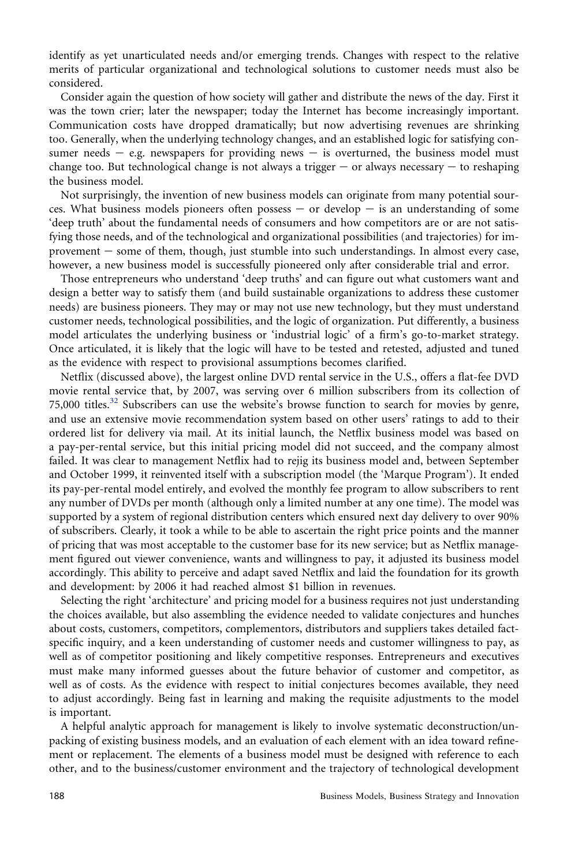identify as yet unarticulated needs and/or emerging trends. Changes with respect to the relative merits of particular organizational and technological solutions to customer needs must also be considered.

Consider again the question of how society will gather and distribute the news of the day. First it was the town crier; later the newspaper; today the Internet has become increasingly important. Communication costs have dropped dramatically; but now advertising revenues are shrinking too. Generally, when the underlying technology changes, and an established logic for satisfying consumer needs  $-$  e.g. newspapers for providing news  $-$  is overturned, the business model must change too. But technological change is not always a trigger  $-$  or always necessary  $-$  to reshaping the business model.

Not surprisingly, the invention of new business models can originate from many potential sources. What business models pioneers often possess  $-$  or develop  $-$  is an understanding of some 'deep truth' about the fundamental needs of consumers and how competitors are or are not satisfying those needs, and of the technological and organizational possibilities (and trajectories) for improvement  $-$  some of them, though, just stumble into such understandings. In almost every case, however, a new business model is successfully pioneered only after considerable trial and error.

Those entrepreneurs who understand 'deep truths' and can figure out what customers want and design a better way to satisfy them (and build sustainable organizations to address these customer needs) are business pioneers. They may or may not use new technology, but they must understand customer needs, technological possibilities, and the logic of organization. Put differently, a business model articulates the underlying business or 'industrial logic' of a firm's go-to-market strategy. Once articulated, it is likely that the logic will have to be tested and retested, adjusted and tuned as the evidence with respect to provisional assumptions becomes clarified.

Netflix (discussed above), the largest online DVD rental service in the U.S., offers a flat-fee DVD movie rental service that, by 2007, was serving over 6 million subscribers from its collection of 75,000 titles.<sup>[32](#page-22-0)</sup> Subscribers can use the website's browse function to search for movies by genre, and use an extensive movie recommendation system based on other users' ratings to add to their ordered list for delivery via mail. At its initial launch, the Netflix business model was based on a pay-per-rental service, but this initial pricing model did not succeed, and the company almost failed. It was clear to management Netflix had to rejig its business model and, between September and October 1999, it reinvented itself with a subscription model (the 'Marque Program'). It ended its pay-per-rental model entirely, and evolved the monthly fee program to allow subscribers to rent any number of DVDs per month (although only a limited number at any one time). The model was supported by a system of regional distribution centers which ensured next day delivery to over 90% of subscribers. Clearly, it took a while to be able to ascertain the right price points and the manner of pricing that was most acceptable to the customer base for its new service; but as Netflix management figured out viewer convenience, wants and willingness to pay, it adjusted its business model accordingly. This ability to perceive and adapt saved Netflix and laid the foundation for its growth and development: by 2006 it had reached almost \$1 billion in revenues.

Selecting the right 'architecture' and pricing model for a business requires not just understanding the choices available, but also assembling the evidence needed to validate conjectures and hunches about costs, customers, competitors, complementors, distributors and suppliers takes detailed factspecific inquiry, and a keen understanding of customer needs and customer willingness to pay, as well as of competitor positioning and likely competitive responses. Entrepreneurs and executives must make many informed guesses about the future behavior of customer and competitor, as well as of costs. As the evidence with respect to initial conjectures becomes available, they need to adjust accordingly. Being fast in learning and making the requisite adjustments to the model is important.

A helpful analytic approach for management is likely to involve systematic deconstruction/unpacking of existing business models, and an evaluation of each element with an idea toward refinement or replacement. The elements of a business model must be designed with reference to each other, and to the business/customer environment and the trajectory of technological development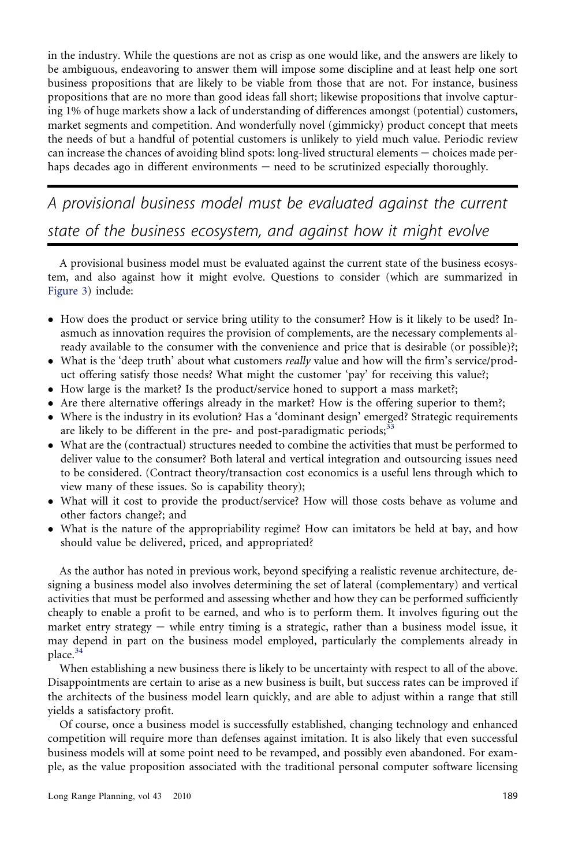in the industry. While the questions are not as crisp as one would like, and the answers are likely to be ambiguous, endeavoring to answer them will impose some discipline and at least help one sort business propositions that are likely to be viable from those that are not. For instance, business propositions that are no more than good ideas fall short; likewise propositions that involve capturing 1% of huge markets show a lack of understanding of differences amongst (potential) customers, market segments and competition. And wonderfully novel (gimmicky) product concept that meets the needs of but a handful of potential customers is unlikely to yield much value. Periodic review can increase the chances of avoiding blind spots: long-lived structural elements  $-$  choices made perhaps decades ago in different environments  $-$  need to be scrutinized especially thoroughly.

A provisional business model must be evaluated against the current state of the business ecosystem, and against how it might evolve

A provisional business model must be evaluated against the current state of the business ecosystem, and also against how it might evolve. Questions to consider (which are summarized in [Figure 3\)](#page-18-0) include:

- How does the product or service bring utility to the consumer? How is it likely to be used? Inasmuch as innovation requires the provision of complements, are the necessary complements already available to the consumer with the convenience and price that is desirable (or possible)?;
- What is the 'deep truth' about what customers *really* value and how will the firm's service/product offering satisfy those needs? What might the customer 'pay' for receiving this value?;
- How large is the market? Is the product/service honed to support a mass market?;
- Are there alternative offerings already in the market? How is the offering superior to them?;
- Where is the industry in its evolution? Has a 'dominant design' emerged? Strategic requirements are likely to be different in the pre- and post-paradigmatic periods;  $33$
- What are the (contractual) structures needed to combine the activities that must be performed to deliver value to the consumer? Both lateral and vertical integration and outsourcing issues need to be considered. (Contract theory/transaction cost economics is a useful lens through which to view many of these issues. So is capability theory);
- What will it cost to provide the product/service? How will those costs behave as volume and other factors change?; and
- What is the nature of the appropriability regime? How can imitators be held at bay, and how should value be delivered, priced, and appropriated?

As the author has noted in previous work, beyond specifying a realistic revenue architecture, designing a business model also involves determining the set of lateral (complementary) and vertical activities that must be performed and assessing whether and how they can be performed sufficiently cheaply to enable a profit to be earned, and who is to perform them. It involves figuring out the market entry strategy  $-$  while entry timing is a strategic, rather than a business model issue, it may depend in part on the business model employed, particularly the complements already in place.<sup>34</sup>

When establishing a new business there is likely to be uncertainty with respect to all of the above. Disappointments are certain to arise as a new business is built, but success rates can be improved if the architects of the business model learn quickly, and are able to adjust within a range that still yields a satisfactory profit.

Of course, once a business model is successfully established, changing technology and enhanced competition will require more than defenses against imitation. It is also likely that even successful business models will at some point need to be revamped, and possibly even abandoned. For example, as the value proposition associated with the traditional personal computer software licensing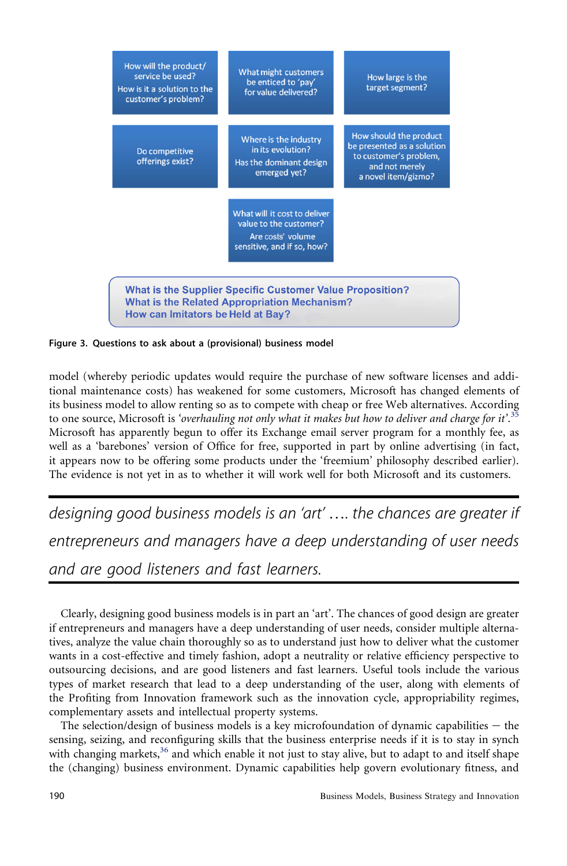<span id="page-18-0"></span>

Figure 3. Questions to ask about a (provisional) business model

model (whereby periodic updates would require the purchase of new software licenses and additional maintenance costs) has weakened for some customers, Microsoft has changed elements of its business model to allow renting so as to compete with cheap or free Web alternatives. According to one source, Microsoft is 'overhauling not only what it makes but how to deliver and charge for it'.  $^{35}$  $^{35}$  $^{35}$ Microsoft has apparently begun to offer its Exchange email server program for a monthly fee, as well as a 'barebones' version of Office for free, supported in part by online advertising (in fact, it appears now to be offering some products under the 'freemium' philosophy described earlier). The evidence is not yet in as to whether it will work well for both Microsoft and its customers.

designing good business models is an 'art' .... the chances are greater if entrepreneurs and managers have a deep understanding of user needs and are good listeners and fast learners.

Clearly, designing good business models is in part an 'art'. The chances of good design are greater if entrepreneurs and managers have a deep understanding of user needs, consider multiple alternatives, analyze the value chain thoroughly so as to understand just how to deliver what the customer wants in a cost-effective and timely fashion, adopt a neutrality or relative efficiency perspective to outsourcing decisions, and are good listeners and fast learners. Useful tools include the various types of market research that lead to a deep understanding of the user, along with elements of the Profiting from Innovation framework such as the innovation cycle, appropriability regimes, complementary assets and intellectual property systems.

The selection/design of business models is a key microfoundation of dynamic capabilities  $-$  the sensing, seizing, and reconfiguring skills that the business enterprise needs if it is to stay in synch with changing markets,<sup>36</sup> and which enable it not just to stay alive, but to adapt to and itself shape the (changing) business environment. Dynamic capabilities help govern evolutionary fitness, and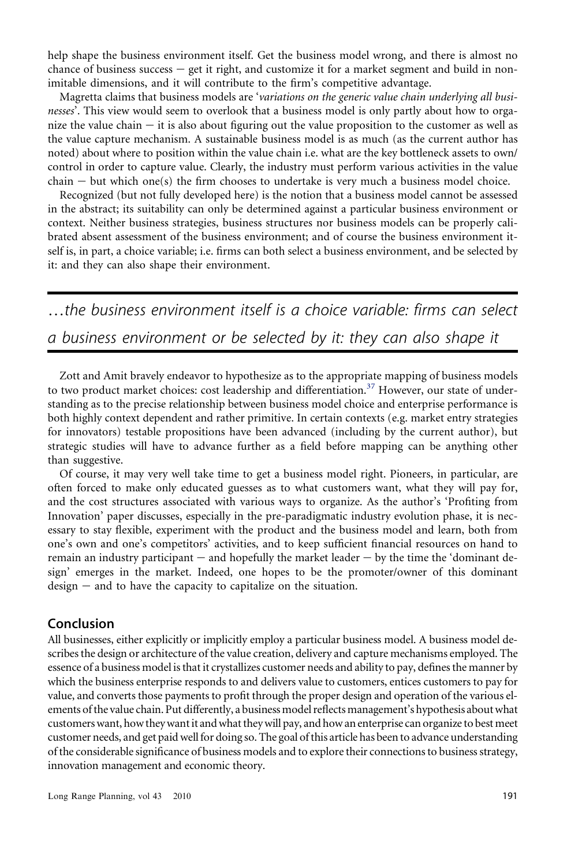help shape the business environment itself. Get the business model wrong, and there is almost no chance of business success  $-$  get it right, and customize it for a market segment and build in nonimitable dimensions, and it will contribute to the firm's competitive advantage.

Magretta claims that business models are 'variations on the generic value chain underlying all businesses'. This view would seem to overlook that a business model is only partly about how to organize the value chain  $-$  it is also about figuring out the value proposition to the customer as well as the value capture mechanism. A sustainable business model is as much (as the current author has noted) about where to position within the value chain i.e. what are the key bottleneck assets to own/ control in order to capture value. Clearly, the industry must perform various activities in the value chain  $-$  but which one(s) the firm chooses to undertake is very much a business model choice.

Recognized (but not fully developed here) is the notion that a business model cannot be assessed in the abstract; its suitability can only be determined against a particular business environment or context. Neither business strategies, business structures nor business models can be properly calibrated absent assessment of the business environment; and of course the business environment itself is, in part, a choice variable; i.e. firms can both select a business environment, and be selected by it: and they can also shape their environment.

.the business environment itself is a choice variable: firms can select a business environment or be selected by it: they can also shape it

Zott and Amit bravely endeavor to hypothesize as to the appropriate mapping of business models to two product market choices: cost leadership and differentiation.<sup>[37](#page-22-0)</sup> However, our state of understanding as to the precise relationship between business model choice and enterprise performance is both highly context dependent and rather primitive. In certain contexts (e.g. market entry strategies for innovators) testable propositions have been advanced (including by the current author), but strategic studies will have to advance further as a field before mapping can be anything other than suggestive.

Of course, it may very well take time to get a business model right. Pioneers, in particular, are often forced to make only educated guesses as to what customers want, what they will pay for, and the cost structures associated with various ways to organize. As the author's 'Profiting from Innovation' paper discusses, especially in the pre-paradigmatic industry evolution phase, it is necessary to stay flexible, experiment with the product and the business model and learn, both from one's own and one's competitors' activities, and to keep sufficient financial resources on hand to remain an industry participant  $-$  and hopefully the market leader  $-$  by the time the 'dominant design' emerges in the market. Indeed, one hopes to be the promoter/owner of this dominant  $design - and to have the capacity to capitalize on the situation.$ 

#### Conclusion

All businesses, either explicitly or implicitly employ a particular business model. A business model describes the design or architecture of the value creation, delivery and capture mechanisms employed. The essence of a business model is that it crystallizes customer needs and ability to pay, defines the manner by which the business enterprise responds to and delivers value to customers, entices customers to pay for value, and converts those payments to profit through the proper design and operation of the various elements of the value chain. Put differently, a business model reflects management's hypothesis about what customers want, how theywantit andwhat theywill pay, and how an enterprise can organize to best meet customer needs, and get paid well for doing so. The goal of this article has been to advance understanding of the considerable significance of business models and to explore their connections to business strategy, innovation management and economic theory.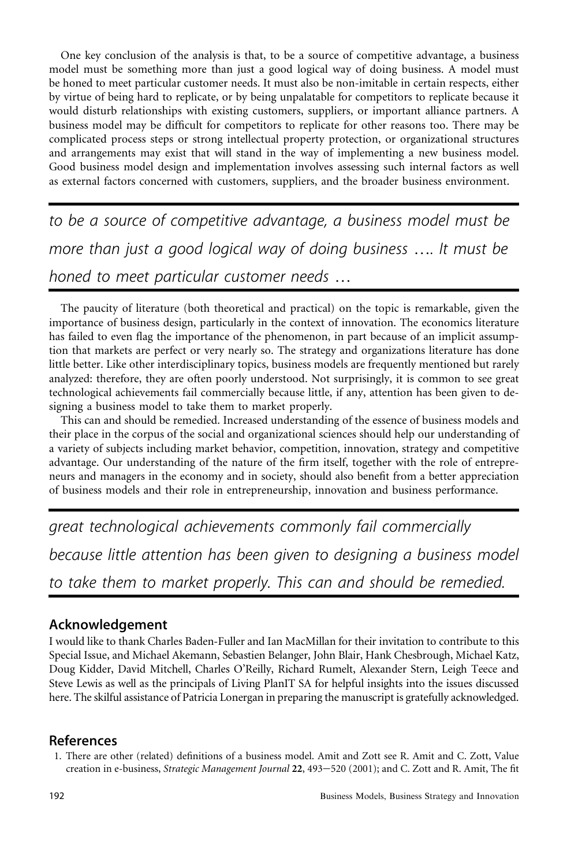<span id="page-20-0"></span>One key conclusion of the analysis is that, to be a source of competitive advantage, a business model must be something more than just a good logical way of doing business. A model must be honed to meet particular customer needs. It must also be non-imitable in certain respects, either by virtue of being hard to replicate, or by being unpalatable for competitors to replicate because it would disturb relationships with existing customers, suppliers, or important alliance partners. A business model may be difficult for competitors to replicate for other reasons too. There may be complicated process steps or strong intellectual property protection, or organizational structures and arrangements may exist that will stand in the way of implementing a new business model. Good business model design and implementation involves assessing such internal factors as well as external factors concerned with customers, suppliers, and the broader business environment.

to be a source of competitive advantage, a business model must be more than just a good logical way of doing business .... It must be honed to meet particular customer needs .

The paucity of literature (both theoretical and practical) on the topic is remarkable, given the importance of business design, particularly in the context of innovation. The economics literature has failed to even flag the importance of the phenomenon, in part because of an implicit assumption that markets are perfect or very nearly so. The strategy and organizations literature has done little better. Like other interdisciplinary topics, business models are frequently mentioned but rarely analyzed: therefore, they are often poorly understood. Not surprisingly, it is common to see great technological achievements fail commercially because little, if any, attention has been given to designing a business model to take them to market properly.

This can and should be remedied. Increased understanding of the essence of business models and their place in the corpus of the social and organizational sciences should help our understanding of a variety of subjects including market behavior, competition, innovation, strategy and competitive advantage. Our understanding of the nature of the firm itself, together with the role of entrepreneurs and managers in the economy and in society, should also benefit from a better appreciation of business models and their role in entrepreneurship, innovation and business performance.

great technological achievements commonly fail commercially because little attention has been given to designing a business model to take them to market properly. This can and should be remedied.

# Acknowledgement

I would like to thank Charles Baden-Fuller and Ian MacMillan for their invitation to contribute to this Special Issue, and Michael Akemann, Sebastien Belanger, John Blair, Hank Chesbrough, Michael Katz, Doug Kidder, David Mitchell, Charles O'Reilly, Richard Rumelt, Alexander Stern, Leigh Teece and Steve Lewis as well as the principals of Living PlanIT SA for helpful insights into the issues discussed here. The skilful assistance of Patricia Lonergan in preparing the manuscript is gratefully acknowledged.

# References

1. There are other (related) definitions of a business model. Amit and Zott see R. Amit and C. Zott, Value creation in e-business, Strategic Management Journal 22, 493-520 (2001); and C. Zott and R. Amit, The fit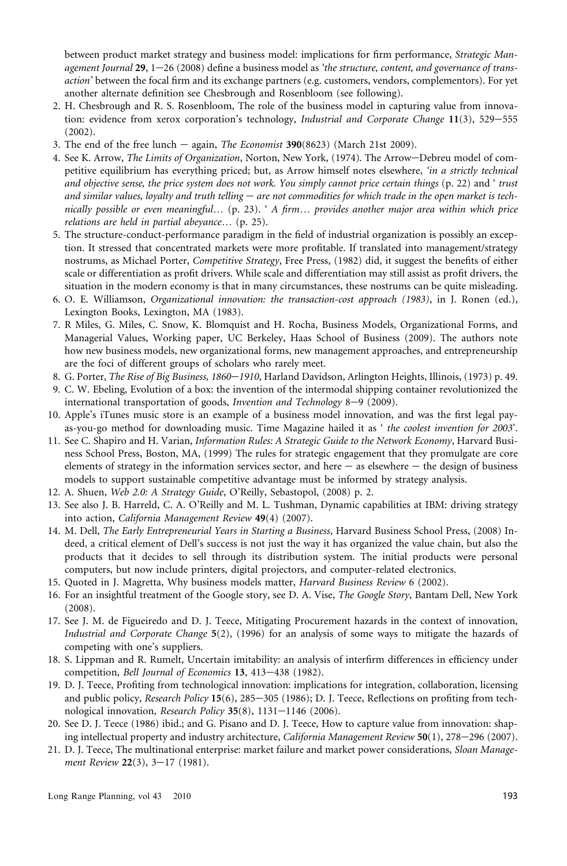<span id="page-21-0"></span>between product market strategy and business model: implications for firm performance, Strategic Management Journal  $29$ ,  $1-26$  (2008) define a business model as 'the structure, content, and governance of transaction' between the focal firm and its exchange partners (e.g. customers, vendors, complementors). For yet another alternate definition see Chesbrough and Rosenbloom (see following).

- 2. H. Chesbrough and R. S. Rosenbloom, The role of the business model in capturing value from innovation: evidence from xerox corporation's technology, Industrial and Corporate Change  $11(3)$ , 529-555 (2002).
- 3. The end of the free lunch  $-$  again, The Economist 390(8623) (March 21st 2009).
- 4. See K. Arrow, The Limits of Organization, Norton, New York, (1974). The Arrow-Debreu model of competitive equilibrium has everything priced; but, as Arrow himself notes elsewhere, 'in a strictly technical and objective sense, the price system does not work. You simply cannot price certain things (p. 22) and ' trust and similar values, loyalty and truth telling  $-$  are not commodities for which trade in the open market is technically possible or even meaningful...  $(p. 23)$ .  $A firm...$  provides another major area within which price relations are held in partial abeyance... (p. 25).
- 5. The structure-conduct-performance paradigm in the field of industrial organization is possibly an exception. It stressed that concentrated markets were more profitable. If translated into management/strategy nostrums, as Michael Porter, Competitive Strategy, Free Press, (1982) did, it suggest the benefits of either scale or differentiation as profit drivers. While scale and differentiation may still assist as profit drivers, the situation in the modern economy is that in many circumstances, these nostrums can be quite misleading.
- 6. O. E. Williamson, Organizational innovation: the transaction-cost approach (1983), in J. Ronen (ed.), Lexington Books, Lexington, MA (1983).
- 7. R Miles, G. Miles, C. Snow, K. Blomquist and H. Rocha, Business Models, Organizational Forms, and Managerial Values, Working paper, UC Berkeley, Haas School of Business (2009). The authors note how new business models, new organizational forms, new management approaches, and entrepreneurship are the foci of different groups of scholars who rarely meet.
- 8. G. Porter, The Rise of Big Business, 1860–1910, Harland Davidson, Arlington Heights, Illinois, (1973) p. 49.
- 9. C. W. Ebeling, Evolution of a box: the invention of the intermodal shipping container revolutionized the international transportation of goods, Invention and Technology 8-9 (2009).
- 10. Apple's iTunes music store is an example of a business model innovation, and was the first legal payas-you-go method for downloading music. Time Magazine hailed it as ' the coolest invention for 2003'.
- 11. See C. Shapiro and H. Varian, *Information Rules: A Strategic Guide to the Network Economy*, Harvard Business School Press, Boston, MA, (1999) The rules for strategic engagement that they promulgate are core elements of strategy in the information services sector, and here  $-$  as elsewhere  $-$  the design of business models to support sustainable competitive advantage must be informed by strategy analysis.
- 12. A. Shuen, Web 2.0: A Strategy Guide, O'Reilly, Sebastopol, (2008) p. 2.
- 13. See also J. B. Harreld, C. A. O'Reilly and M. L. Tushman, Dynamic capabilities at IBM: driving strategy into action, California Management Review 49(4) (2007).
- 14. M. Dell, The Early Entrepreneurial Years in Starting a Business, Harvard Business School Press, (2008) Indeed, a critical element of Dell's success is not just the way it has organized the value chain, but also the products that it decides to sell through its distribution system. The initial products were personal computers, but now include printers, digital projectors, and computer-related electronics.
- 15. Quoted in J. Magretta, Why business models matter, Harvard Business Review 6 (2002).
- 16. For an insightful treatment of the Google story, see D. A. Vise, The Google Story, Bantam Dell, New York (2008).
- 17. See J. M. de Figueiredo and D. J. Teece, Mitigating Procurement hazards in the context of innovation, Industrial and Corporate Change 5(2), (1996) for an analysis of some ways to mitigate the hazards of competing with one's suppliers.
- 18. S. Lippman and R. Rumelt, Uncertain imitability: an analysis of interfirm differences in efficiency under competition, Bell Journal of Economics 13, 413-438 (1982).
- 19. D. J. Teece, Profiting from technological innovation: implications for integration, collaboration, licensing and public policy, Research Policy 15(6), 285-305 (1986); D. J. Teece, Reflections on profiting from technological innovation, Research Policy  $35(8)$ ,  $1131-1146$  (2006).
- 20. See D. J. Teece (1986) ibid.; and G. Pisano and D. J. Teece, How to capture value from innovation: shaping intellectual property and industry architecture, California Management Review  $50(1)$ , 278-296 (2007).
- 21. D. J. Teece, The multinational enterprise: market failure and market power considerations, Sloan Management Review 22(3),  $3-17$  (1981).